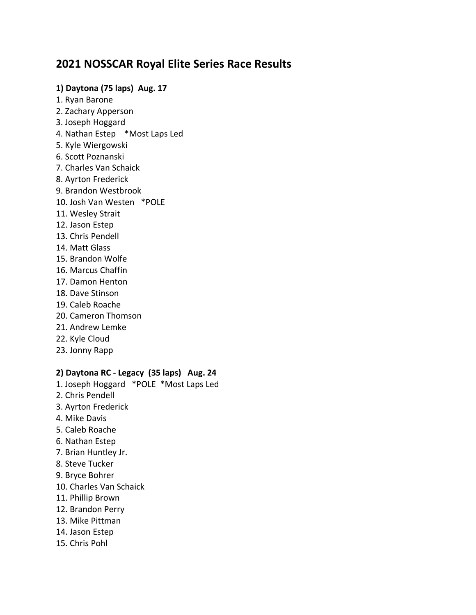# **2021 NOSSCAR Royal Elite Series Race Results**

## **1) Daytona (75 laps) Aug. 17**

- 1. Ryan Barone
- 2. Zachary Apperson
- 3. Joseph Hoggard
- 4. Nathan Estep \*Most Laps Led
- 5. Kyle Wiergowski
- 6. Scott Poznanski
- 7. Charles Van Schaick
- 8. Ayrton Frederick
- 9. Brandon Westbrook
- 10. Josh Van Westen \*POLE
- 11. Wesley Strait
- 12. Jason Estep
- 13. Chris Pendell
- 14. Matt Glass
- 15. Brandon Wolfe
- 16. Marcus Chaffin
- 17. Damon Henton
- 18. Dave Stinson
- 19. Caleb Roache
- 20. Cameron Thomson
- 21. Andrew Lemke
- 22. Kyle Cloud
- 23. Jonny Rapp

## **2) Daytona RC - Legacy (35 laps) Aug. 24**

- 1. Joseph Hoggard \*POLE \*Most Laps Led
- 2. Chris Pendell
- 3. Ayrton Frederick
- 4. Mike Davis
- 5. Caleb Roache
- 6. Nathan Estep
- 7. Brian Huntley Jr.
- 8. Steve Tucker
- 9. Bryce Bohrer
- 10. Charles Van Schaick
- 11. Phillip Brown
- 12. Brandon Perry
- 13. Mike Pittman
- 14. Jason Estep
- 15. Chris Pohl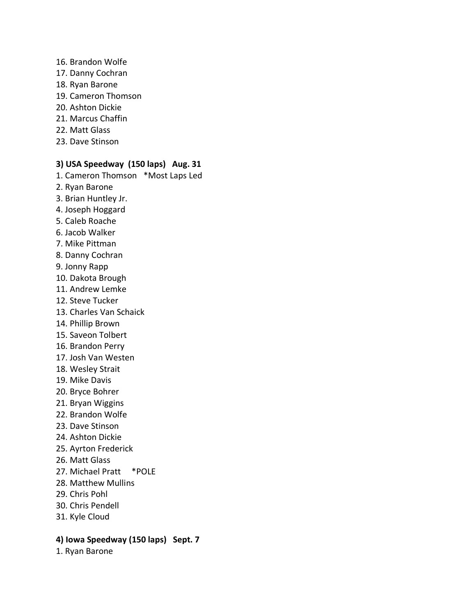#### 16. Brandon Wolfe

- 17. Danny Cochran
- 18. Ryan Barone
- 19. Cameron Thomson
- 20. Ashton Dickie
- 21. Marcus Chaffin
- 22. Matt Glass
- 23. Dave Stinson

### **3) USA Speedway (150 laps) Aug. 31**

- 1. Cameron Thomson \*Most Laps Led
- 2. Ryan Barone
- 3. Brian Huntley Jr.
- 4. Joseph Hoggard
- 5. Caleb Roache
- 6. Jacob Walker
- 7. Mike Pittman
- 8. Danny Cochran
- 9. Jonny Rapp
- 10. Dakota Brough
- 11. Andrew Lemke
- 12. Steve Tucker
- 13. Charles Van Schaick
- 14. Phillip Brown
- 15. Saveon Tolbert
- 16. Brandon Perry
- 17. Josh Van Westen
- 18. Wesley Strait
- 19. Mike Davis
- 20. Bryce Bohrer
- 21. Bryan Wiggins
- 22. Brandon Wolfe
- 23. Dave Stinson
- 24. Ashton Dickie
- 25. Ayrton Frederick
- 26. Matt Glass
- 27. Michael Pratt \*POLE
- 28. Matthew Mullins
- 29. Chris Pohl
- 30. Chris Pendell
- 31. Kyle Cloud

#### **4) Iowa Speedway (150 laps) Sept. 7**

1. Ryan Barone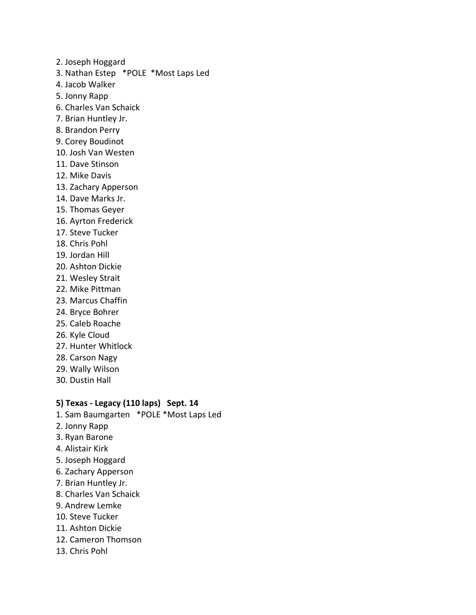- 2. Joseph Hoggard
- 3. Nathan Estep \*POLE \*Most Laps Led
- 4. Jacob Walker
- 5. Jonny Rapp
- 6. Charles Van Schaick
- 7. Brian Huntley Jr.
- 8. Brandon Perry
- 9. Corey Boudinot
- 10. Josh Van Westen
- 11. Dave Stinson
- 12. Mike Davis
- 13. Zachary Apperson
- 14. Dave Marks Jr.
- 15. Thomas Geyer
- 16. Ayrton Frederick
- 17. Steve Tucker
- 18. Chris Pohl
- 19. Jordan Hill
- 20. Ashton Dickie
- 21. Wesley Strait
- 22. Mike Pittman
- 23. Marcus Chaffin
- 24. Bryce Bohrer
- 25. Caleb Roache
- 26. Kyle Cloud
- 27. Hunter Whitlock
- 28. Carson Nagy
- 29. Wally Wilson
- 30. Dustin Hall

## **5) Texas - Legacy (110 laps) Sept. 14**

- 1. Sam Baumgarten \*POLE \*Most Laps Led
- 2. Jonny Rapp
- 3. Ryan Barone
- 4. Alistair Kirk
- 5. Joseph Hoggard
- 6. Zachary Apperson
- 7. Brian Huntley Jr.
- 8. Charles Van Schaick
- 9. Andrew Lemke
- 10. Steve Tucker
- 11. Ashton Dickie
- 12. Cameron Thomson
- 13. Chris Pohl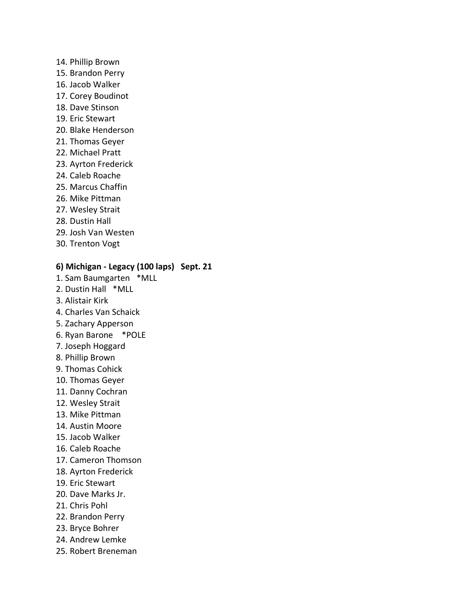#### 14. Phillip Brown

- 15. Brandon Perry
- 16. Jacob Walker
- 17. Corey Boudinot
- 18. Dave Stinson
- 19. Eric Stewart
- 20. Blake Henderson
- 21. Thomas Geyer
- 22. Michael Pratt
- 23. Ayrton Frederick
- 24. Caleb Roache
- 25. Marcus Chaffin
- 26. Mike Pittman
- 27. Wesley Strait
- 28. Dustin Hall
- 29. Josh Van Westen
- 30. Trenton Vogt

## **6) Michigan - Legacy (100 laps) Sept. 21**

- 1. Sam Baumgarten \*MLL
- 2. Dustin Hall \*MLL
- 3. Alistair Kirk
- 4. Charles Van Schaick
- 5. Zachary Apperson
- 6. Ryan Barone \*POLE
- 7. Joseph Hoggard
- 8. Phillip Brown
- 9. Thomas Cohick
- 10. Thomas Geyer
- 11. Danny Cochran
- 12. Wesley Strait
- 13. Mike Pittman
- 14. Austin Moore
- 15. Jacob Walker
- 16. Caleb Roache
- 17. Cameron Thomson
- 18. Ayrton Frederick
- 19. Eric Stewart
- 20. Dave Marks Jr.
- 21. Chris Pohl
- 22. Brandon Perry
- 23. Bryce Bohrer
- 24. Andrew Lemke
- 25. Robert Breneman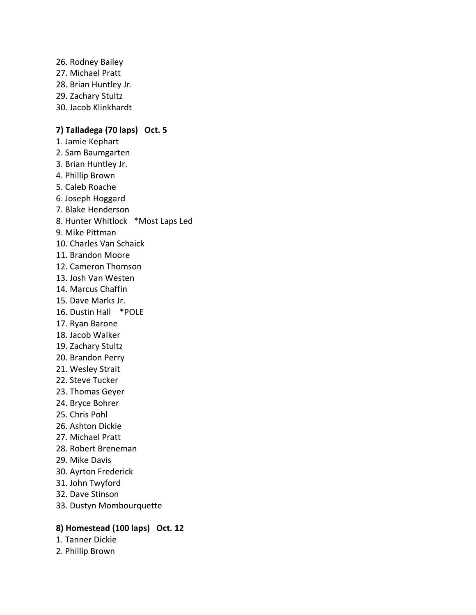26. Rodney Bailey 27. Michael Pratt 28. Brian Huntley Jr. 29. Zachary Stultz 30. Jacob Klinkhardt

## **7) Talladega (70 laps) Oct. 5**

- 1. Jamie Kephart 2. Sam Baumgarten 3. Brian Huntley Jr. 4. Phillip Brown
- 5. Caleb Roache
- 6. Joseph Hoggard
- 7. Blake Henderson
- 8. Hunter Whitlock \*Most Laps Led
- 9. Mike Pittman
- 10. Charles Van Schaick
- 11. Brandon Moore
- 12. Cameron Thomson
- 13. Josh Van Westen
- 14. Marcus Chaffin
- 15. Dave Marks Jr.
- 16. Dustin Hall \*POLE
- 17. Ryan Barone
- 18. Jacob Walker
- 19. Zachary Stultz
- 20. Brandon Perry
- 21. Wesley Strait
- 22. Steve Tucker
- 23. Thomas Geyer
- 24. Bryce Bohrer
- 25. Chris Pohl
- 26. Ashton Dickie
- 27. Michael Pratt
- 28. Robert Breneman
- 29. Mike Davis
- 30. Ayrton Frederick
- 31. John Twyford
- 32. Dave Stinson
- 33. Dustyn Mombourquette

## **8) Homestead (100 laps) Oct. 12**

- 1. Tanner Dickie
- 2. Phillip Brown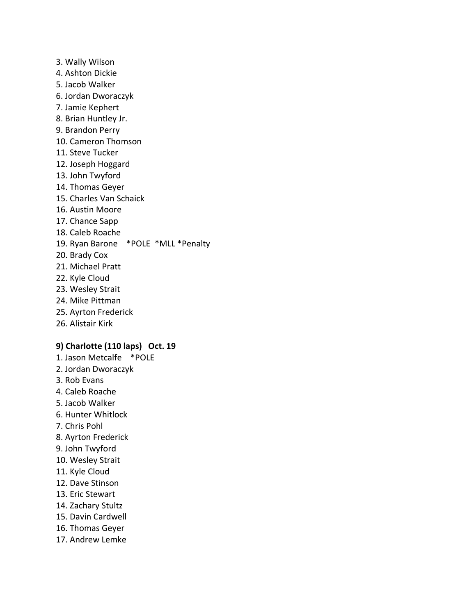3. Wally Wilson 4. Ashton Dickie 5. Jacob Walker 6. Jordan Dworaczyk 7. Jamie Kephert 8. Brian Huntley Jr. 9. Brandon Perry 10. Cameron Thomson 11. Steve Tucker 12. Joseph Hoggard 13. John Twyford 14. Thomas Geyer 15. Charles Van Schaick 16. Austin Moore 17. Chance Sapp 18. Caleb Roache 19. Ryan Barone \*POLE \*MLL \*Penalty 20. Brady Cox 21. Michael Pratt 22. Kyle Cloud 23. Wesley Strait 24. Mike Pittman 25. Ayrton Frederick 26. Alistair Kirk

## **9) Charlotte (110 laps) Oct. 19**

- 1. Jason Metcalfe \*POLE 2. Jordan Dworaczyk
- 3. Rob Evans
- 4. Caleb Roache
- 5. Jacob Walker
- 6. Hunter Whitlock
- 7. Chris Pohl
- 8. Ayrton Frederick
- 9. John Twyford
- 10. Wesley Strait
- 11. Kyle Cloud
- 12. Dave Stinson
- 13. Eric Stewart
- 14. Zachary Stultz
- 15. Davin Cardwell
- 16. Thomas Geyer
- 17. Andrew Lemke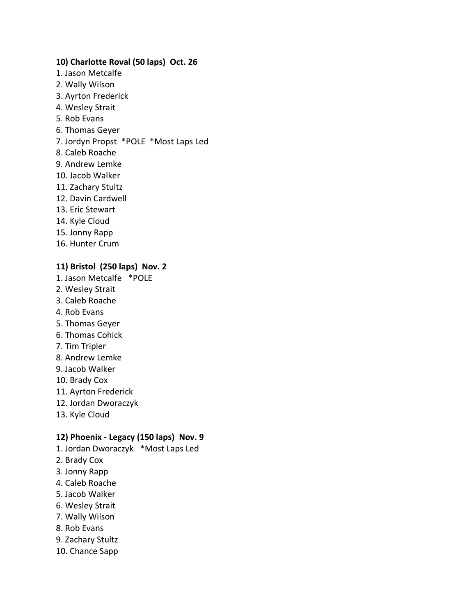## **10) Charlotte Roval (50 laps) Oct. 26**

- 1. Jason Metcalfe
- 2. Wally Wilson
- 3. Ayrton Frederick
- 4. Wesley Strait
- 5. Rob Evans
- 6. Thomas Geyer
- 7. Jordyn Propst \*POLE \*Most Laps Led
- 8. Caleb Roache
- 9. Andrew Lemke
- 10. Jacob Walker
- 11. Zachary Stultz
- 12. Davin Cardwell
- 13. Eric Stewart
- 14. Kyle Cloud
- 15. Jonny Rapp
- 16. Hunter Crum

## **11) Bristol (250 laps) Nov. 2**

- 1. Jason Metcalfe \*POLE
- 2. Wesley Strait
- 3. Caleb Roache
- 4. Rob Evans
- 5. Thomas Geyer
- 6. Thomas Cohick
- 7. Tim Tripler
- 8. Andrew Lemke
- 9. Jacob Walker
- 10. Brady Cox
- 11. Ayrton Frederick
- 12. Jordan Dworaczyk
- 13. Kyle Cloud

## **12) Phoenix - Legacy (150 laps) Nov. 9**

- 1. Jordan Dworaczyk \*Most Laps Led
- 2. Brady Cox
- 3. Jonny Rapp
- 4. Caleb Roache
- 5. Jacob Walker
- 6. Wesley Strait
- 7. Wally Wilson
- 8. Rob Evans
- 9. Zachary Stultz
- 10. Chance Sapp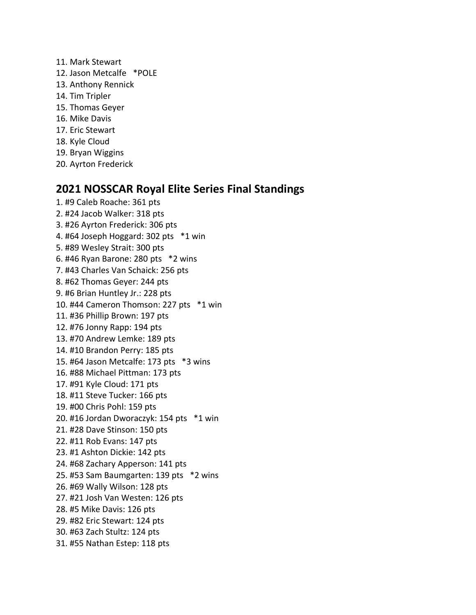- 11. Mark Stewart
- 12. Jason Metcalfe \*POLE
- 13. Anthony Rennick
- 14. Tim Tripler
- 15. Thomas Geyer
- 16. Mike Davis
- 17. Eric Stewart
- 18. Kyle Cloud
- 19. Bryan Wiggins
- 20. Ayrton Frederick

# **2021 NOSSCAR Royal Elite Series Final Standings**

1. #9 Caleb Roache: 361 pts 2. #24 Jacob Walker: 318 pts 3. #26 Ayrton Frederick: 306 pts 4. #64 Joseph Hoggard: 302 pts \*1 win 5. #89 Wesley Strait: 300 pts 6. #46 Ryan Barone: 280 pts \*2 wins 7. #43 Charles Van Schaick: 256 pts 8. #62 Thomas Geyer: 244 pts 9. #6 Brian Huntley Jr.: 228 pts 10. #44 Cameron Thomson: 227 pts \*1 win 11. #36 Phillip Brown: 197 pts 12. #76 Jonny Rapp: 194 pts 13. #70 Andrew Lemke: 189 pts 14. #10 Brandon Perry: 185 pts 15. #64 Jason Metcalfe: 173 pts \*3 wins 16. #88 Michael Pittman: 173 pts 17. #91 Kyle Cloud: 171 pts 18. #11 Steve Tucker: 166 pts 19. #00 Chris Pohl: 159 pts 20. #16 Jordan Dworaczyk: 154 pts \*1 win 21. #28 Dave Stinson: 150 pts 22. #11 Rob Evans: 147 pts 23. #1 Ashton Dickie: 142 pts 24. #68 Zachary Apperson: 141 pts 25. #53 Sam Baumgarten: 139 pts \*2 wins 26. #69 Wally Wilson: 128 pts 27. #21 Josh Van Westen: 126 pts 28. #5 Mike Davis: 126 pts 29. #82 Eric Stewart: 124 pts 30. #63 Zach Stultz: 124 pts 31. #55 Nathan Estep: 118 pts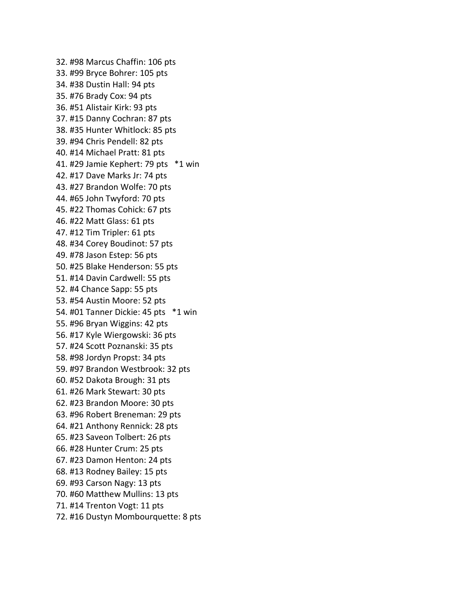32. #98 Marcus Chaffin: 106 pts 33. #99 Bryce Bohrer: 105 pts 34. #38 Dustin Hall: 94 pts 35. #76 Brady Cox: 94 pts 36. #51 Alistair Kirk: 93 pts 37. #15 Danny Cochran: 87 pts 38. #35 Hunter Whitlock: 85 pts 39. #94 Chris Pendell: 82 pts 40. #14 Michael Pratt: 81 pts 41. #29 Jamie Kephert: 79 pts \*1 win 42. #17 Dave Marks Jr: 74 pts 43. #27 Brandon Wolfe: 70 pts 44. #65 John Twyford: 70 pts 45. #22 Thomas Cohick: 67 pts 46. #22 Matt Glass: 61 pts 47. #12 Tim Tripler: 61 pts 48. #34 Corey Boudinot: 57 pts 49. #78 Jason Estep: 56 pts 50. #25 Blake Henderson: 55 pts 51. #14 Davin Cardwell: 55 pts 52. #4 Chance Sapp: 55 pts 53. #54 Austin Moore: 52 pts 54. #01 Tanner Dickie: 45 pts \*1 win 55. #96 Bryan Wiggins: 42 pts 56. #17 Kyle Wiergowski: 36 pts 57. #24 Scott Poznanski: 35 pts 58. #98 Jordyn Propst: 34 pts 59. #97 Brandon Westbrook: 32 pts 60. #52 Dakota Brough: 31 pts 61. #26 Mark Stewart: 30 pts 62. #23 Brandon Moore: 30 pts 63. #96 Robert Breneman: 29 pts 64. #21 Anthony Rennick: 28 pts 65. #23 Saveon Tolbert: 26 pts 66. #28 Hunter Crum: 25 pts 67. #23 Damon Henton: 24 pts 68. #13 Rodney Bailey: 15 pts 69. #93 Carson Nagy: 13 pts 70. #60 Matthew Mullins: 13 pts 71. #14 Trenton Vogt: 11 pts 72. #16 Dustyn Mombourquette: 8 pts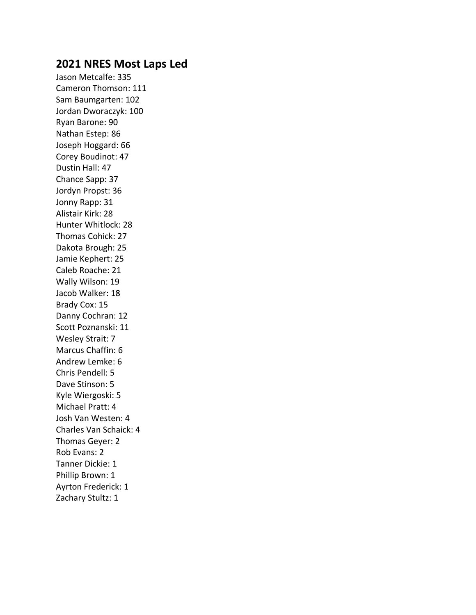# **2021 NRES Most Laps Led**

Jason Metcalfe: 335 Cameron Thomson: 111 Sam Baumgarten: 102 Jordan Dworaczyk: 100 Ryan Barone: 90 Nathan Estep: 86 Joseph Hoggard: 66 Corey Boudinot: 47 Dustin Hall: 47 Chance Sapp: 37 Jordyn Propst: 36 Jonny Rapp: 31 Alistair Kirk: 28 Hunter Whitlock: 28 Thomas Cohick: 27 Dakota Brough: 25 Jamie Kephert: 25 Caleb Roache: 21 Wally Wilson: 19 Jacob Walker: 18 Brady Cox: 15 Danny Cochran: 12 Scott Poznanski: 11 Wesley Strait: 7 Marcus Chaffin: 6 Andrew Lemke: 6 Chris Pendell: 5 Dave Stinson: 5 Kyle Wiergoski: 5 Michael Pratt: 4 Josh Van Westen: 4 Charles Van Schaick: 4 Thomas Geyer: 2 Rob Evans: 2 Tanner Dickie: 1 Phillip Brown: 1 Ayrton Frederick: 1 Zachary Stultz: 1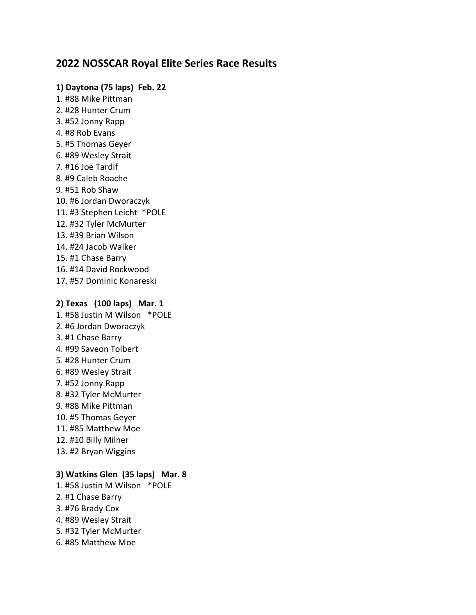# **2022 NOSSCAR Royal Elite Series Race Results**

#### **1) Daytona (75 laps) Feb. 22**

1. #88 Mike Pittman 2. #28 Hunter Crum 3. #52 Jonny Rapp 4. #8 Rob Evans 5. #5 Thomas Geyer 6. #89 Wesley Strait 7. #16 Joe Tardif 8. #9 Caleb Roache 9. #51 Rob Shaw 10. #6 Jordan Dworaczyk 11. #3 Stephen Leicht \*POLE 12. #32 Tyler McMurter 13. #39 Brian Wilson 14. #24 Jacob Walker 15. #1 Chase Barry 16. #14 David Rockwood

#### **2) Texas (100 laps) Mar. 1**

17. #57 Dominic Konareski

1. #58 Justin M Wilson \*POLE 2. #6 Jordan Dworaczyk 3. #1 Chase Barry 4. #99 Saveon Tolbert 5. #28 Hunter Crum 6. #89 Wesley Strait 7. #52 Jonny Rapp 8. #32 Tyler McMurter 9. #88 Mike Pittman 10. #5 Thomas Geyer 11. #85 Matthew Moe 12. #10 Billy Milner 13. #2 Bryan Wiggins

## **3) Watkins Glen (35 laps) Mar. 8**

1. #58 Justin M Wilson \*POLE 2. #1 Chase Barry 3. #76 Brady Cox 4. #89 Wesley Strait 5. #32 Tyler McMurter 6. #85 Matthew Moe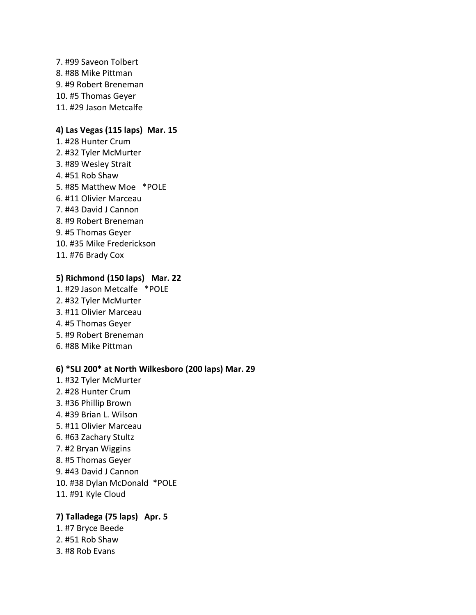7. #99 Saveon Tolbert 8. #88 Mike Pittman 9. #9 Robert Breneman 10. #5 Thomas Geyer 11. #29 Jason Metcalfe

## **4) Las Vegas (115 laps) Mar. 15**

1. #28 Hunter Crum 2. #32 Tyler McMurter 3. #89 Wesley Strait 4. #51 Rob Shaw 5. #85 Matthew Moe \*POLE 6. #11 Olivier Marceau 7. #43 David J Cannon 8. #9 Robert Breneman 9. #5 Thomas Geyer 10. #35 Mike Frederickson 11. #76 Brady Cox

### **5) Richmond (150 laps) Mar. 22**

1. #29 Jason Metcalfe \*POLE 2. #32 Tyler McMurter 3. #11 Olivier Marceau 4. #5 Thomas Geyer 5. #9 Robert Breneman 6. #88 Mike Pittman

#### **6) \*SLI 200\* at North Wilkesboro (200 laps) Mar. 29**

- 1. #32 Tyler McMurter
- 2. #28 Hunter Crum
- 3. #36 Phillip Brown
- 4. #39 Brian L. Wilson
- 5. #11 Olivier Marceau
- 6. #63 Zachary Stultz
- 7. #2 Bryan Wiggins
- 8. #5 Thomas Geyer
- 9. #43 David J Cannon
- 10. #38 Dylan McDonald \*POLE
- 11. #91 Kyle Cloud

## **7) Talladega (75 laps) Apr. 5**

- 1. #7 Bryce Beede 2. #51 Rob Shaw
- 3. #8 Rob Evans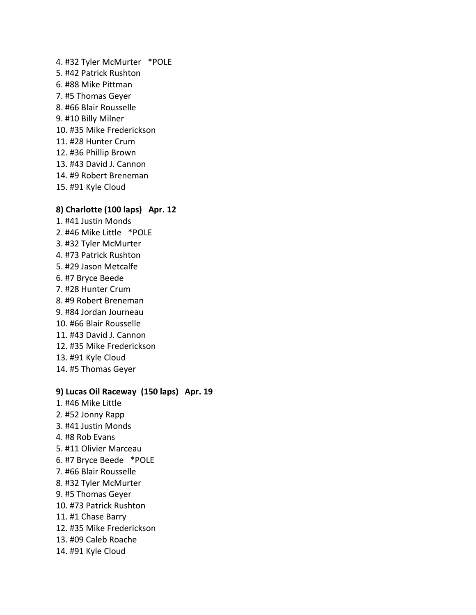4. #32 Tyler McMurter \*POLE 5. #42 Patrick Rushton 6. #88 Mike Pittman 7. #5 Thomas Geyer 8. #66 Blair Rousselle 9. #10 Billy Milner 10. #35 Mike Frederickson 11. #28 Hunter Crum 12. #36 Phillip Brown 13. #43 David J. Cannon 14. #9 Robert Breneman 15. #91 Kyle Cloud

### **8) Charlotte (100 laps) Apr. 12**

1. #41 Justin Monds 2. #46 Mike Little \*POLE 3. #32 Tyler McMurter 4. #73 Patrick Rushton 5. #29 Jason Metcalfe 6. #7 Bryce Beede 7. #28 Hunter Crum 8. #9 Robert Breneman 9. #84 Jordan Journeau 10. #66 Blair Rousselle 11. #43 David J. Cannon 12. #35 Mike Frederickson 13. #91 Kyle Cloud 14. #5 Thomas Geyer

## **9) Lucas Oil Raceway (150 laps) Apr. 19**

- 1. #46 Mike Little 2. #52 Jonny Rapp
- 3. #41 Justin Monds
- 4. #8 Rob Evans
- 5. #11 Olivier Marceau
- 6. #7 Bryce Beede \*POLE
- 7. #66 Blair Rousselle
- 8. #32 Tyler McMurter
- 9. #5 Thomas Geyer
- 10. #73 Patrick Rushton
- 11. #1 Chase Barry
- 12. #35 Mike Frederickson
- 13. #09 Caleb Roache
- 14. #91 Kyle Cloud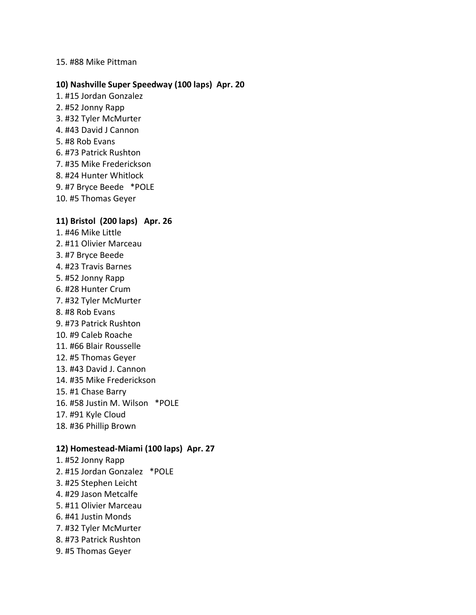#### 15. #88 Mike Pittman

#### **10) Nashville Super Speedway (100 laps) Apr. 20**

- 1. #15 Jordan Gonzalez 2. #52 Jonny Rapp 3. #32 Tyler McMurter 4. #43 David J Cannon
- 5. #8 Rob Evans
- 6. #73 Patrick Rushton
- 7. #35 Mike Frederickson
- 8. #24 Hunter Whitlock
- 9. #7 Bryce Beede \*POLE
- 10. #5 Thomas Geyer

#### **11) Bristol (200 laps) Apr. 26**

- 1. #46 Mike Little 2. #11 Olivier Marceau 3. #7 Bryce Beede 4. #23 Travis Barnes 5. #52 Jonny Rapp 6. #28 Hunter Crum 7. #32 Tyler McMurter 8. #8 Rob Evans 9. #73 Patrick Rushton 10. #9 Caleb Roache 11. #66 Blair Rousselle 12. #5 Thomas Geyer 13. #43 David J. Cannon 14. #35 Mike Frederickson 15. #1 Chase Barry
- 16. #58 Justin M. Wilson \*POLE
- 17. #91 Kyle Cloud
- 18. #36 Phillip Brown

#### **12) Homestead-Miami (100 laps) Apr. 27**

1. #52 Jonny Rapp 2. #15 Jordan Gonzalez \*POLE 3. #25 Stephen Leicht 4. #29 Jason Metcalfe 5. #11 Olivier Marceau 6. #41 Justin Monds 7. #32 Tyler McMurter 8. #73 Patrick Rushton 9. #5 Thomas Geyer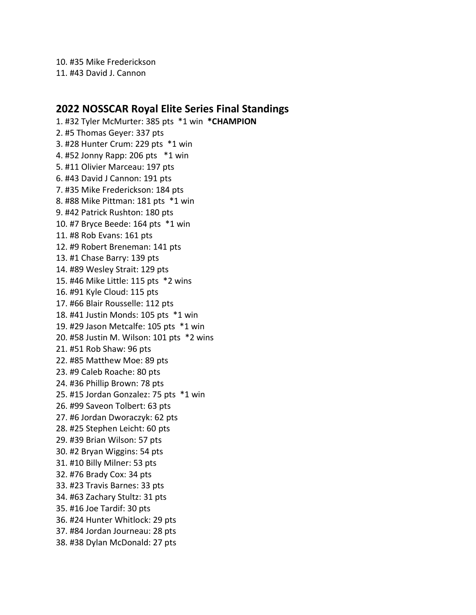10. #35 Mike Frederickson

11. #43 David J. Cannon

## **2022 NOSSCAR Royal Elite Series Final Standings**

1. #32 Tyler McMurter: 385 pts \*1 win **\*CHAMPION** 2. #5 Thomas Geyer: 337 pts 3. #28 Hunter Crum: 229 pts \*1 win 4. #52 Jonny Rapp: 206 pts \*1 win 5. #11 Olivier Marceau: 197 pts 6. #43 David J Cannon: 191 pts 7. #35 Mike Frederickson: 184 pts 8. #88 Mike Pittman: 181 pts \*1 win 9. #42 Patrick Rushton: 180 pts 10. #7 Bryce Beede: 164 pts \*1 win 11. #8 Rob Evans: 161 pts 12. #9 Robert Breneman: 141 pts 13. #1 Chase Barry: 139 pts 14. #89 Wesley Strait: 129 pts 15. #46 Mike Little: 115 pts \*2 wins 16. #91 Kyle Cloud: 115 pts 17. #66 Blair Rousselle: 112 pts 18. #41 Justin Monds: 105 pts \*1 win 19. #29 Jason Metcalfe: 105 pts \*1 win 20. #58 Justin M. Wilson: 101 pts \*2 wins 21. #51 Rob Shaw: 96 pts 22. #85 Matthew Moe: 89 pts 23. #9 Caleb Roache: 80 pts 24. #36 Phillip Brown: 78 pts 25. #15 Jordan Gonzalez: 75 pts \*1 win 26. #99 Saveon Tolbert: 63 pts 27. #6 Jordan Dworaczyk: 62 pts 28. #25 Stephen Leicht: 60 pts 29. #39 Brian Wilson: 57 pts 30. #2 Bryan Wiggins: 54 pts 31. #10 Billy Milner: 53 pts 32. #76 Brady Cox: 34 pts 33. #23 Travis Barnes: 33 pts 34. #63 Zachary Stultz: 31 pts 35. #16 Joe Tardif: 30 pts 36. #24 Hunter Whitlock: 29 pts 37. #84 Jordan Journeau: 28 pts 38. #38 Dylan McDonald: 27 pts